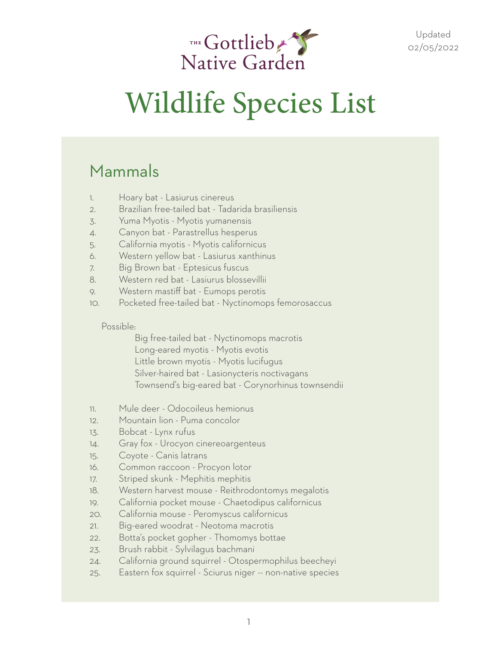

#### Mammals

- 1. Hoary bat Lasiurus cinereus
- 2. Brazilian free-tailed bat Tadarida brasiliensis
- 3. Yuma Myotis Myotis yumanensis
- 4. Canyon bat Parastrellus hesperus
- 5. California myotis Myotis californicus
- 6. Western yellow bat Lasiurus xanthinus
- 7. Big Brown bat Eptesicus fuscus
- 8. Western red bat Lasiurus blossevillii
- 9. Western mastiff bat Eumops perotis
- 10. Pocketed free-tailed bat Nyctinomops femorosaccus

#### Possible:

 Big free-tailed bat - Nyctinomops macrotis Long-eared myotis - Myotis evotis Little brown myotis - Myotis lucifugus Silver-haired bat - Lasionycteris noctivagans Townsend's big-eared bat - Corynorhinus townsendii

- 11. Mule deer Odocoileus hemionus
- 12. Mountain lion Puma concolor
- 13. Bobcat Lynx rufus
- 14. Gray fox Urocyon cinereoargenteus
- 15. Coyote Canis latrans
- 16. Common raccoon Procyon lotor
- 17. Striped skunk Mephitis mephitis
- 18. Western harvest mouse Reithrodontomys megalotis
- 19. California pocket mouse Chaetodipus californicus
- 20. California mouse Peromyscus californicus
- 21. Big-eared woodrat Neotoma macrotis
- 22. Botta's pocket gopher Thomomys bottae
- 23. Brush rabbit Sylvilagus bachmani
- 24. California ground squirrel Otospermophilus beecheyi
- 25. Eastern fox squirrel Sciurus niger -- non-native species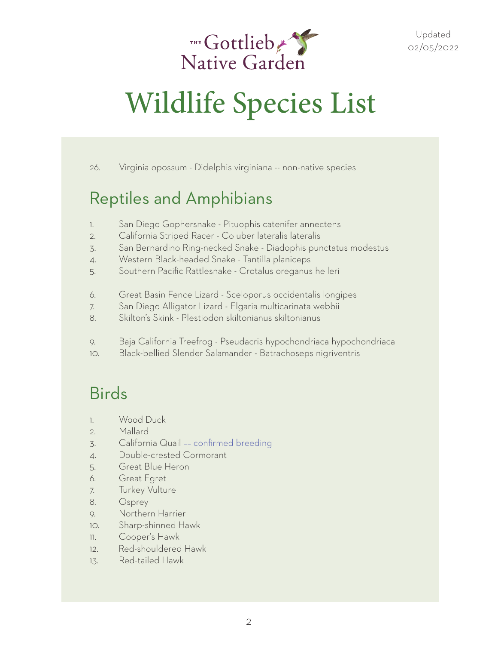

26. Virginia opossum - Didelphis virginiana -- non-native species

#### Reptiles and Amphibians

- 1. San Diego Gophersnake Pituophis catenifer annectens
- 2. California Striped Racer Coluber lateralis lateralis
- 3. San Bernardino Ring-necked Snake Diadophis punctatus modestus
- 4. Western Black-headed Snake Tantilla planiceps
- 5. Southern Pacific Rattlesnake Crotalus oreganus helleri
- 6. Great Basin Fence Lizard Sceloporus occidentalis longipes
- 7. San Diego Alligator Lizard Elgaria multicarinata webbii
- 8. Skilton's Skink Plestiodon skiltonianus skiltonianus
- 9. Baja California Treefrog Pseudacris hypochondriaca hypochondriaca
- 10. Black-bellied Slender Salamander Batrachoseps nigriventris

#### Birds

- 1. Wood Duck
- 2. Mallard
- 3. California Quail –– confirmed breeding
- 4. Double-crested Cormorant
- 5. Great Blue Heron
- 6. Great Egret
- 7. Turkey Vulture
- 8. Osprey
- 9. Northern Harrier
- 10. Sharp-shinned Hawk
- 11. Cooper's Hawk
- 12. Red-shouldered Hawk
- 13. Red-tailed Hawk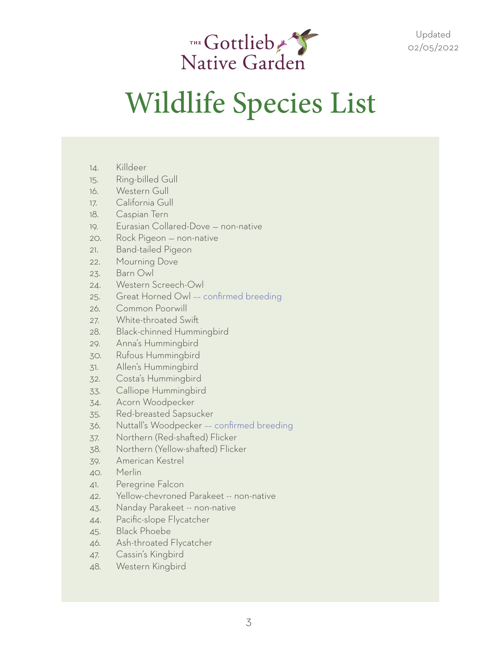

- 14. Killdeer
- 15. Ring-billed Gull
- 16. Western Gull
- 17. California Gull
- 18. Caspian Tern
- 19. Eurasian Collared-Dove non-native
- 20. Rock Pigeon non-native
- 21. Band-tailed Pigeon
- 22. Mourning Dove
- 23. Barn Owl
- 24. Western Screech-Owl
- 25. Great Horned Owl –– confirmed breeding
- 26. Common Poorwill
- 27. White-throated Swift
- 28. Black-chinned Hummingbird
- 29. Anna's Hummingbird
- 30. Rufous Hummingbird
- 31. Allen's Hummingbird
- 32. Costa's Hummingbird
- 33. Calliope Hummingbird
- 34. Acorn Woodpecker
- 35. Red-breasted Sapsucker
- 36. Nuttall's Woodpecker –– confirmed breeding
- 37. Northern (Red-shafted) Flicker
- 38. Northern (Yellow-shafted) Flicker
- 39. American Kestrel
- 40. Merlin
- 41. Peregrine Falcon
- 42. Yellow-chevroned Parakeet -- non-native
- 43. Nanday Parakeet -- non-native
- 44. Pacific-slope Flycatcher
- 45. Black Phoebe
- 46. Ash-throated Flycatcher
- 47. Cassin's Kingbird
- 48. Western Kingbird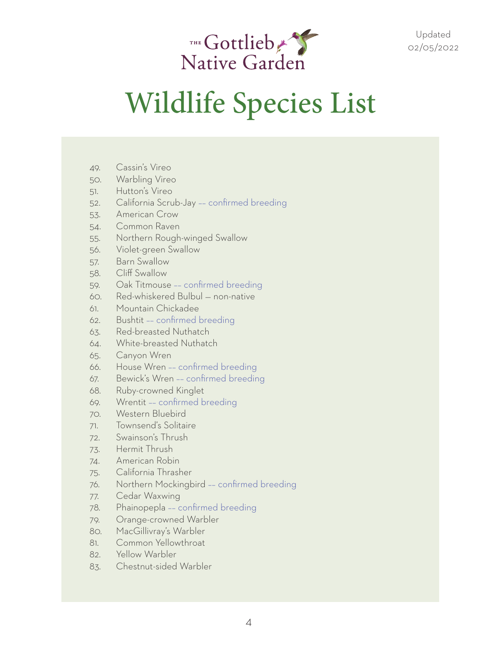

- 49. Cassin's Vireo
- 50. Warbling Vireo
- 51. Hutton's Vireo
- 52. California Scrub-Jay –– confirmed breeding
- 53. American Crow
- 54. Common Raven
- 55. Northern Rough-winged Swallow
- 56. Violet-green Swallow
- 57. Barn Swallow
- 58. Cliff Swallow
- 59. Oak Titmouse –– confirmed breeding
- 60. Red-whiskered Bulbul non-native
- 61. Mountain Chickadee
- 62. Bushtit –– confirmed breeding
- 63. Red-breasted Nuthatch
- 64. White-breasted Nuthatch
- 65. Canyon Wren
- 66. House Wren –– confirmed breeding
- 67. Bewick's Wren –– confirmed breeding
- 68. Ruby-crowned Kinglet
- 69. Wrentit –– confirmed breeding
- 70. Western Bluebird
- 71. Townsend's Solitaire
- 72. Swainson's Thrush
- 73. Hermit Thrush
- 74. American Robin
- 75. California Thrasher
- 76. Northern Mockingbird –– confirmed breeding
- 77. Cedar Waxwing
- 78. Phainopepla –– confirmed breeding
- 79. Orange-crowned Warbler
- 80. MacGillivray's Warbler
- 81. Common Yellowthroat
- 82. Yellow Warbler
- 83. Chestnut-sided Warbler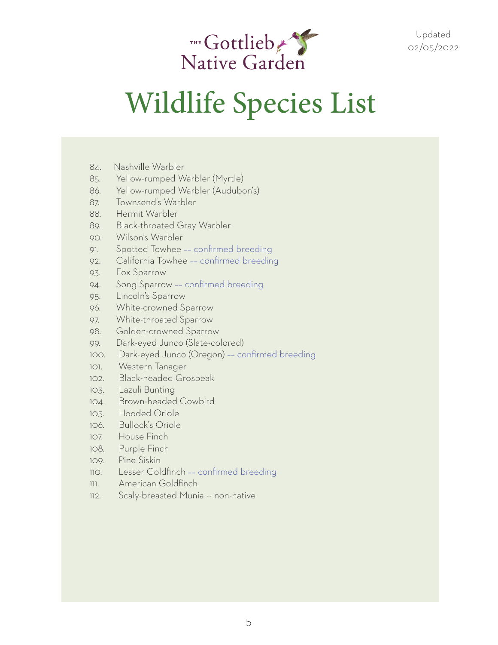

- 84. Nashville Warbler
- 85. Yellow-rumped Warbler (Myrtle)
- 86. Yellow-rumped Warbler (Audubon's)
- 87. Townsend's Warbler
- 88. Hermit Warbler
- 89. Black-throated Gray Warbler
- 90. Wilson's Warbler
- 91. Spotted Towhee –– confirmed breeding
- 92. California Towhee –– confirmed breeding
- 93. Fox Sparrow
- 94. Song Sparrow –– confirmed breeding
- 95. Lincoln's Sparrow
- 96. White-crowned Sparrow
- 97. White-throated Sparrow
- 98. Golden-crowned Sparrow
- 99. Dark-eyed Junco (Slate-colored)
- 100. Dark-eyed Junco (Oregon) –– confirmed breeding
- 101. Western Tanager
- 102. Black-headed Grosbeak
- 103. Lazuli Bunting
- 104. Brown-headed Cowbird
- 105. Hooded Oriole
- 106. Bullock's Oriole
- 107. House Finch
- 108. Purple Finch
- 109. Pine Siskin
- 110. Lesser Goldfinch –– confirmed breeding
- 111. American Goldfinch
- 112. Scaly-breasted Munia -- non-native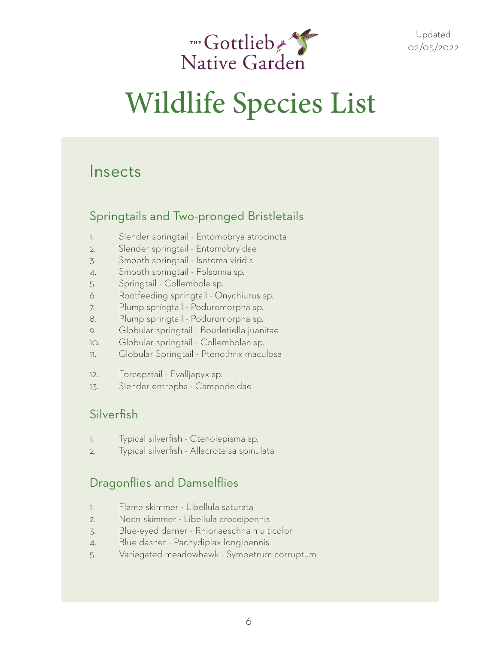

#### Insects

#### Springtails and Two-pronged Bristletails

- 1. Slender springtail Entomobrya atrocincta
- 2. Slender springtail Entomobryidae
- 3. Smooth springtail Isotoma viridis
- 4. Smooth springtail Folsomia sp.
- 5. Springtail Collembola sp.
- 6. Rootfeeding springtail Onychiurus sp.
- 7. Plump springtail Poduromorpha sp.
- 8. Plump springtail Poduromorpha sp.
- 9. Globular springtail Bourletiella juanitae
- 10. Globular springtail Collembolan sp.
- 11. Globular Springtail Ptenothrix maculosa
- 12. Forcepstail Evalljapyx sp.
- 13. Slender entrophs Campodeidae

#### Silverfish

- 1. Typical silverfish Ctenolepisma sp.
- 2. Typical silverfish Allacrotelsa spinulata

#### Dragonflies and Damselflies

- 1. Flame skimmer Libellula saturata
- 2. Neon skimmer Libellula croceipennis
- 3. Blue-eyed darner Rhionaeschna multicolor
- 4. Blue dasher Pachydiplax longipennis
- 5. Variegated meadowhawk Sympetrum corruptum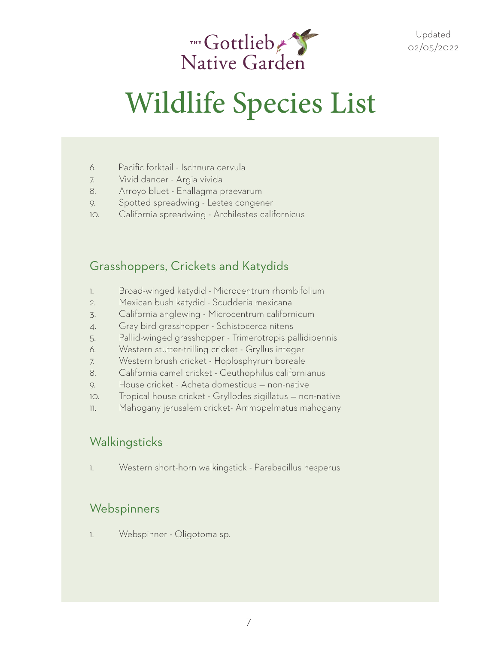

- 6. Pacific forktail Ischnura cervula
- 7. Vivid dancer Argia vivida
- 8. Arroyo bluet Enallagma praevarum
- 9. Spotted spreadwing Lestes congener
- 10. California spreadwing Archilestes californicus

#### Grasshoppers, Crickets and Katydids

- 1. Broad-winged katydid Microcentrum rhombifolium
- 2. Mexican bush katydid Scudderia mexicana
- 3. California anglewing Microcentrum californicum
- 4. Gray bird grasshopper Schistocerca nitens
- 5. Pallid-winged grasshopper Trimerotropis pallidipennis
- 6. Western stutter-trilling cricket Gryllus integer
- 7. Western brush cricket Hoplosphyrum boreale
- 8. California camel cricket Ceuthophilus californianus
- 9. House cricket Acheta domesticus non-native
- 10. Tropical house cricket Gryllodes sigillatus non-native
- 11. Mahogany jerusalem cricket- Ammopelmatus mahogany

#### Walkingsticks

1. Western short-horn walkingstick - Parabacillus hesperus

#### Webspinners

1. Webspinner - Oligotoma sp.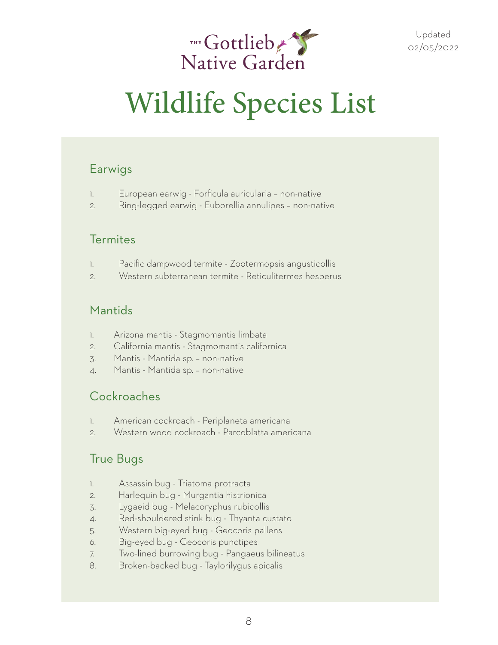

#### Earwigs

- 1. European earwig Forficula auricularia non-native
- 2. Ring-legged earwig Euborellia annulipes non-native

#### **Termites**

- 1. Pacific dampwood termite Zootermopsis angusticollis
- 2. Western subterranean termite Reticulitermes hesperus

#### Mantids

- 1. Arizona mantis Stagmomantis limbata
- 2. California mantis Stagmomantis californica
- 3. Mantis Mantida sp. non-native
- 4. Mantis Mantida sp. non-native

#### **Cockroaches**

- 1. American cockroach Periplaneta americana
- 2. Western wood cockroach Parcoblatta americana

#### True Bugs

- 1. Assassin bug Triatoma protracta
- 2. Harlequin bug Murgantia histrionica
- 3. Lygaeid bug Melacoryphus rubicollis
- 4. Red-shouldered stink bug Thyanta custato
- 5. Western big-eyed bug Geocoris pallens
- 6. Big-eyed bug Geocoris punctipes
- 7. Two-lined burrowing bug Pangaeus bilineatus
- 8. Broken-backed bug Taylorilygus apicalis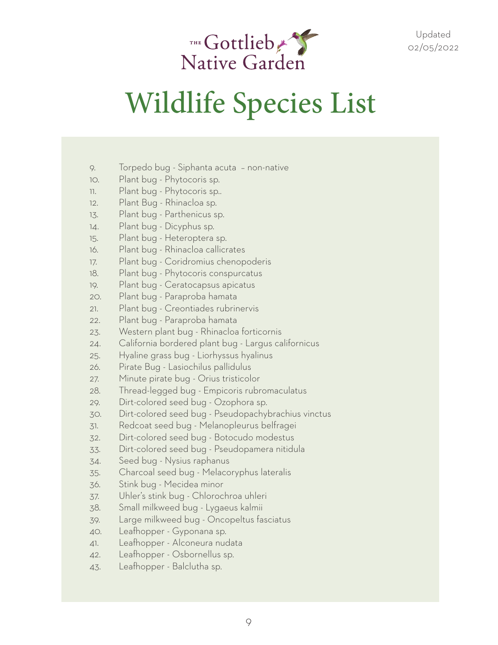

- 9. Torpedo bug Siphanta acuta non-native
- 10. Plant bug Phytocoris sp.
- 11. Plant bug Phytocoris sp..
- 12. Plant Bug Rhinacloa sp.
- 13. Plant bug Parthenicus sp.
- 14. Plant bug Dicyphus sp.
- 15. Plant bug Heteroptera sp.
- 16. Plant bug Rhinacloa callicrates
- 17. Plant bug Coridromius chenopoderis
- 18. Plant bug Phytocoris conspurcatus
- 19. Plant bug Ceratocapsus apicatus
- 20. Plant bug Paraproba hamata
- 21. Plant bug Creontiades rubrinervis
- 22. Plant bug Paraproba hamata
- 23. Western plant bug Rhinacloa forticornis
- 24. California bordered plant bug Largus californicus
- 25. Hyaline grass bug Liorhyssus hyalinus
- 26. Pirate Bug Lasiochilus pallidulus
- 27. Minute pirate bug Orius tristicolor
- 28. Thread-legged bug Empicoris rubromaculatus
- 29. Dirt-colored seed bug Ozophora sp.
- 30. Dirt-colored seed bug Pseudopachybrachius vinctus
- 31. Redcoat seed bug Melanopleurus belfragei
- 32. Dirt-colored seed bug Botocudo modestus
- 33. Dirt-colored seed bug Pseudopamera nitidula
- 34. Seed bug Nysius raphanus
- 35. Charcoal seed bug Melacoryphus lateralis
- 36. Stink bug Mecidea minor
- 37. Uhler's stink bug Chlorochroa uhleri
- 38. Small milkweed bug Lygaeus kalmii
- 39. Large milkweed bug Oncopeltus fasciatus
- 40. Leafhopper Gyponana sp.
- 41. Leafhopper Alconeura nudata
- 42. Leafhopper Osbornellus sp.
- 43. Leafhopper Balclutha sp.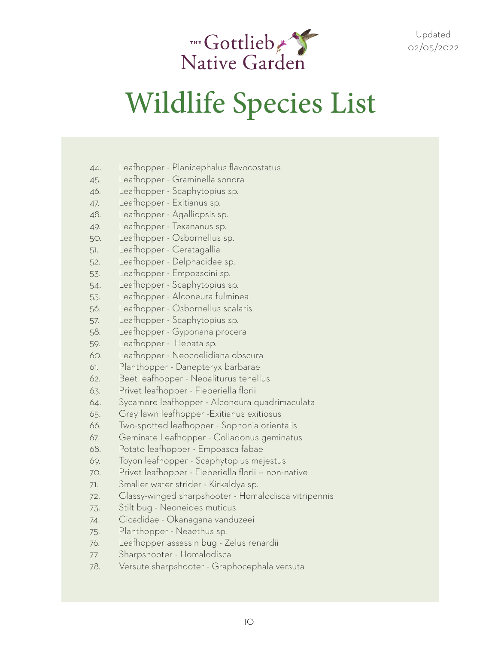

- 44. Leafhopper Planicephalus flavocostatus
- 45. Leafhopper Graminella sonora
- 46. Leafhopper Scaphytopius sp.
- 47. Leafhopper Exitianus sp.
- 48. Leafhopper Agalliopsis sp.
- 49. Leafhopper Texananus sp.
- 50. Leafhopper Osbornellus sp.
- 51. Leafhopper Ceratagallia
- 52. Leafhopper Delphacidae sp.
- 53. Leafhopper Empoascini sp.
- 54. Leafhopper Scaphytopius sp.
- 55. Leafhopper Alconeura fulminea
- 56. Leafhopper Osbornellus scalaris
- 57. Leafhopper Scaphytopius sp.
- 58. Leafhopper Gyponana procera
- 59. Leafhopper Hebata sp.
- 60. Leafhopper Neocoelidiana obscura
- 61. Planthopper Danepteryx barbarae
- 62. Beet leafhopper Neoaliturus tenellus
- 63. Privet leafhopper Fieberiella florii
- 64. Sycamore leafhopper Alconeura quadrimaculata
- 65. Gray lawn leafhopper -Exitianus exitiosus
- 66. Two-spotted leafhopper Sophonia orientalis
- 67. Geminate Leafhopper Colladonus geminatus
- 68. Potato leafhopper Empoasca fabae
- 69. Toyon leafhopper Scaphytopius majestus
- 70. Privet leafhopper Fieberiella florii -- non-native
- 71. Smaller water strider Kirkaldya sp.
- 72. Glassy-winged sharpshooter Homalodisca vitripennis
- 73. Stilt bug Neoneides muticus
- 74. Cicadidae Okanagana vanduzeei
- 75. Planthopper Neaethus sp.
- 76. Leafhopper assassin bug Zelus renardii
- 77. Sharpshooter Homalodisca
- 78. Versute sharpshooter Graphocephala versuta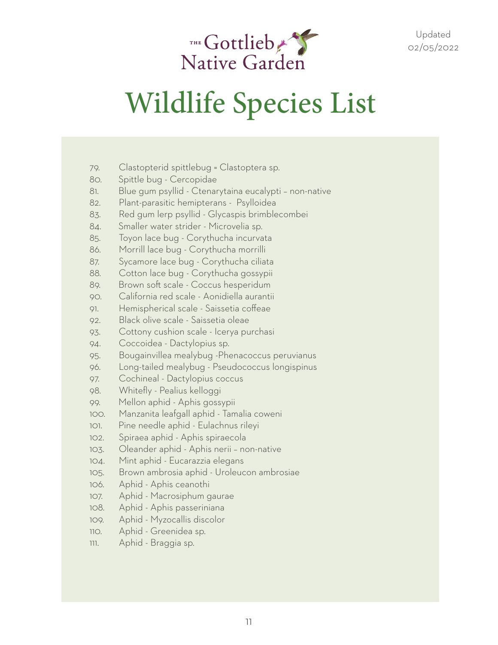

- 79. Clastopterid spittlebug = Clastoptera sp.
- 80. Spittle bug Cercopidae
- 81. Blue gum psyllid Ctenarytaina eucalypti non-native
- 82. Plant-parasitic hemipterans Psylloidea
- 83. Red gum lerp psyllid Glycaspis brimblecombei
- 84. Smaller water strider Microvelia sp.
- 85. Toyon lace bug Corythucha incurvata
- 86. Morrill lace bug Corythucha morrilli
- 87. Sycamore lace bug Corythucha ciliata
- 88. Cotton lace bug Corythucha gossypii
- 89. Brown soft scale Coccus hesperidum
- 90. California red scale Aonidiella aurantii
- 91. Hemispherical scale Saissetia coffeae
- 92. Black olive scale Saissetia oleae
- 93. Cottony cushion scale Icerya purchasi
- 94. Coccoidea Dactylopius sp.
- 95. Bougainvillea mealybug -Phenacoccus peruvianus
- 96. Long-tailed mealybug Pseudococcus longispinus
- 97. Cochineal Dactylopius coccus
- 98. Whitefly Pealius kelloggi
- 99. Mellon aphid Aphis gossypii
- 100. Manzanita leafgall aphid Tamalia coweni
- 101. Pine needle aphid Eulachnus rileyi
- 102. Spiraea aphid Aphis spiraecola
- 103. Oleander aphid Aphis nerii non-native
- 104. Mint aphid Eucarazzia elegans
- 105. Brown ambrosia aphid Uroleucon ambrosiae
- 106. Aphid Aphis ceanothi
- 107. Aphid Macrosiphum gaurae
- 108. Aphid Aphis passeriniana
- 109. Aphid Myzocallis discolor
- 110. Aphid Greenidea sp.
- 111. Aphid Braggia sp.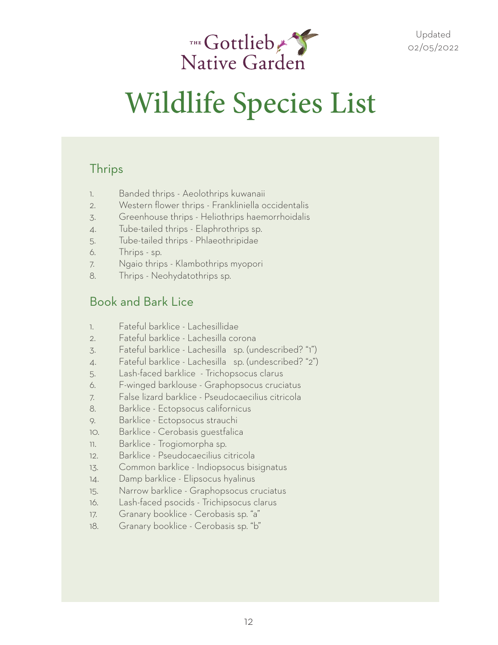

#### **Thrips**

- 1. Banded thrips Aeolothrips kuwanaii
- 2. Western flower thrips Frankliniella occidentalis
- 3. Greenhouse thrips Heliothrips haemorrhoidalis
- 4. Tube-tailed thrips Elaphrothrips sp.
- 5. Tube-tailed thrips Phlaeothripidae
- 6. Thrips sp.
- 7. Ngaio thrips Klambothrips myopori
- 8. Thrips Neohydatothrips sp.

#### Book and Bark Lice

- 1. Fateful barklice Lachesillidae
- 2. Fateful barklice Lachesilla corona
- 3. Fateful barklice Lachesilla ♂ sp. (undescribed? "1")
- 4. Fateful barklice Lachesilla sp. (undescribed? "2")
- 5. Lash-faced barklice Trichopsocus clarus
- 6. F-winged barklouse Graphopsocus cruciatus
- 7. False lizard barklice Pseudocaecilius citricola
- 8. Barklice Ectopsocus californicus
- 9. Barklice Ectopsocus strauchi
- 10. Barklice Cerobasis guestfalica
- 11. Barklice Trogiomorpha sp.
- 12. Barklice Pseudocaecilius citricola
- 13. Common barklice Indiopsocus bisignatus
- 14. Damp barklice Elipsocus hyalinus
- 15. Narrow barklice Graphopsocus cruciatus
- 16. Lash-faced psocids Trichipsocus clarus
- 17. Granary booklice Cerobasis sp. "a"
- 18. Granary booklice Cerobasis sp. "b"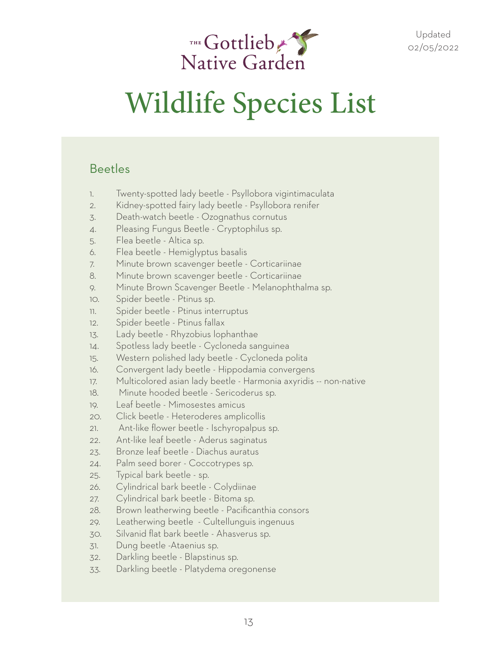

#### Beetles

- 1. Twenty-spotted lady beetle Psyllobora vigintimaculata
- 2. Kidney-spotted fairy lady beetle Psyllobora renifer
- 3. Death-watch beetle Ozognathus cornutus
- 4. Pleasing Fungus Beetle Cryptophilus sp.
- 5. Flea beetle Altica sp.
- 6. Flea beetle Hemiglyptus basalis
- 7. Minute brown scavenger beetle Corticariinae
- 8. Minute brown scavenger beetle Corticariinae
- 9. Minute Brown Scavenger Beetle Melanophthalma sp.
- 10. Spider beetle Ptinus sp.
- 11. Spider beetle Ptinus interruptus
- 12. Spider beetle Ptinus fallax
- 13. Lady beetle Rhyzobius lophanthae
- 14. Spotless lady beetle Cycloneda sanguinea
- 15. Western polished lady beetle Cycloneda polita
- 16. Convergent lady beetle Hippodamia convergens
- 17. Multicolored asian lady beetle Harmonia axyridis -- non-native
- 18. Minute hooded beetle Sericoderus sp.
- 19. Leaf beetle Mimosestes amicus
- 20. Click beetle Heteroderes amplicollis
- 21. Ant-like flower beetle Ischyropalpus sp.
- 22. Ant-like leaf beetle Aderus saginatus
- 23. Bronze leaf beetle Diachus auratus
- 24. Palm seed borer Coccotrypes sp.
- 25. Typical bark beetle sp.
- 26. Cylindrical bark beetle Colydiinae
- 27. Cylindrical bark beetle Bitoma sp.
- 28. Brown leatherwing beetle Pacificanthia consors
- 29. Leatherwing beetle Cultellunguis ingenuus
- 30. Silvanid flat bark beetle Ahasverus sp.
- 31. Dung beetle -Ataenius sp.
- 32. Darkling beetle Blapstinus sp.
- 33. Darkling beetle Platydema oregonense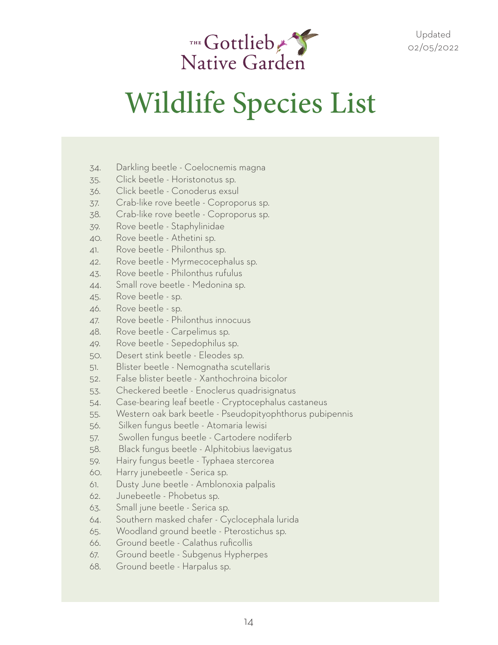

- 34. Darkling beetle Coelocnemis magna
- 35. Click beetle Horistonotus sp.
- 36. Click beetle Conoderus exsul
- 37. Crab-like rove beetle Coproporus sp.
- 38. Crab-like rove beetle Coproporus sp.
- 39. Rove beetle Staphylinidae
- 40. Rove beetle Athetini sp.
- 41. Rove beetle Philonthus sp.
- 42. Rove beetle Myrmecocephalus sp.
- 43. Rove beetle Philonthus rufulus
- 44. Small rove beetle Medonina sp.
- 45. Rove beetle sp.
- 46. Rove beetle sp.
- 47. Rove beetle Philonthus innocuus
- 48. Rove beetle Carpelimus sp.
- 49. Rove beetle Sepedophilus sp.
- 50. Desert stink beetle Eleodes sp.
- 51. Blister beetle Nemognatha scutellaris
- 52. False blister beetle Xanthochroina bicolor
- 53. Checkered beetle Enoclerus quadrisignatus
- 54. Case-bearing leaf beetle Cryptocephalus castaneus
- 55. Western oak bark beetle Pseudopityophthorus pubipennis
- 56. Silken fungus beetle Atomaria lewisi
- 57. Swollen fungus beetle Cartodere nodiferb
- 58. Black fungus beetle Alphitobius laevigatus
- 59. Hairy fungus beetle Typhaea stercorea
- 60. Harry junebeetle Serica sp.
- 61. Dusty June beetle Amblonoxia palpalis
- 62. Junebeetle Phobetus sp.
- 63. Small june beetle Serica sp.
- 64. Southern masked chafer Cyclocephala lurida
- 65. Woodland ground beetle Pterostichus sp.
- 66. Ground beetle Calathus ruficollis
- 67. Ground beetle Subgenus Hypherpes
- 68. Ground beetle Harpalus sp.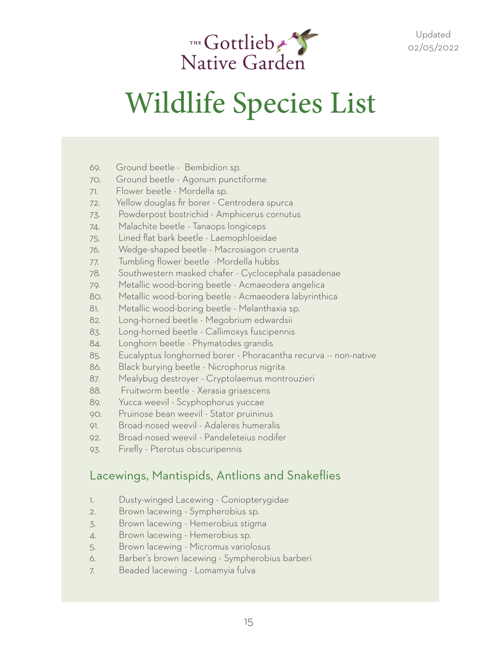

- 69. Ground beetle Bembidion sp.
- 70. Ground beetle Agonum punctiforme
- 71. Flower beetle Mordella sp.
- 72. Yellow douglas fir borer Centrodera spurca
- 73. Powderpost bostrichid Amphicerus cornutus
- 74. Malachite beetle Tanaops longiceps
- 75. Lined flat bark beetle Laemophloeidae
- 76. Wedge-shaped beetle Macrosiagon cruenta
- 77. Tumbling flower beetle -Mordella hubbs
- 78. Southwestern masked chafer Cyclocephala pasadenae
- 79. Metallic wood-boring beetle Acmaeodera angelica
- 80. Metallic wood-boring beetle Acmaeodera labyrinthica
- 81. Metallic wood-boring beetle Melanthaxia sp.
- 82. Long-horned beetle Megobrium edwardsii
- 83. Long-horned beetle Callimoxys fuscipennis
- 84. Longhorn beetle Phymatodes grandis
- 85. Eucalyptus longhorned borer Phoracantha recurva -- non-native
- 86. Black burying beetle Nicrophorus nigrita
- 87. Mealybug destroyer Cryptolaemus montrouzieri
- 88. Fruitworm beetle Xerasia grisescens
- 89. Yucca weevil Scyphophorus yuccae
- 90. Pruinose bean weevil Stator pruininus
- 91. Broad-nosed weevil Adaleres humeralis
- 92. Broad-nosed weevil Pandeleteius nodifer
- 93. Firefly Pterotus obscuripennis

#### Lacewings, Mantispids, Antlions and Snakeflies

- 1. Dusty-winged Lacewing Coniopterygidae
- 2. Brown lacewing Sympherobius sp.
- 3. Brown lacewing Hemerobius stigma
- 4. Brown lacewing Hemerobius sp.
- 5. Brown lacewing Micromus variolosus
- 6. Barber's brown lacewing Sympherobius barberi
- 7. Beaded lacewing Lomamyia fulva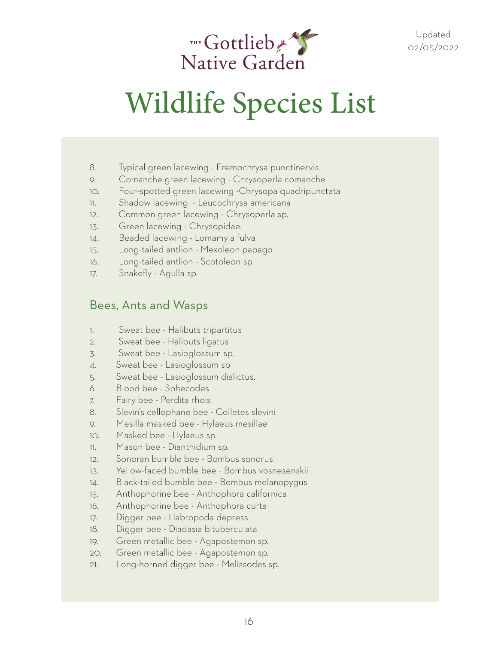

- 8. Typical green lacewing Eremochrysa punctinervis
- 9. Comanche green lacewing Chrysoperla comanche
- 10. Four-spotted green lacewing -Chrysopa quadripunctata
- 11. Shadow lacewing Leucochrysa americana
- 12. Common green lacewing Chrysoperla sp.
- 13. Green lacewing Chrysopidae.
- 14. Beaded lacewing Lomamyia fulva
- 15. Long-tailed antlion Mexoleon papago
- 16. Long-tailed antlion Scotoleon sp.
- 17. Snakefly Agulla sp.

#### Bees, Ants and Wasps

- 1. Sweat bee Halibuts tripartitus
- 2. Sweat bee Halibuts ligatus
- 3. Sweat bee Lasioglossum sp.
- 4. Sweat bee Lasioglossum sp
- 5. Sweat bee Lasioglossum dialictus.
- 6. Blood bee Sphecodes
- 7. Fairy bee Perdita rhois
- 8. Slevin's cellophane bee Colletes slevini
- 9. Mesilla masked bee Hylaeus mesillae
- 10. Masked bee Hylaeus sp.
- 11. Mason bee Dianthidium sp.
- 12. Sonoran bumble bee Bombus sonorus
- 13. Yellow-faced bumble bee Bombus vosnesenskii
- 14. Black-tailed bumble bee Bombus melanopygus
- 15. Anthophorine bee Anthophora californica
- 16. Anthophorine bee Anthophora curta
- 17. Digger bee Habropoda depress
- 18. Digger bee Diadasia bituberculata
- 19. Green metallic bee Agapostemon sp.
- 20. Green metallic bee Agapostemon sp.
- 21. Long-horned digger bee Melissodes sp.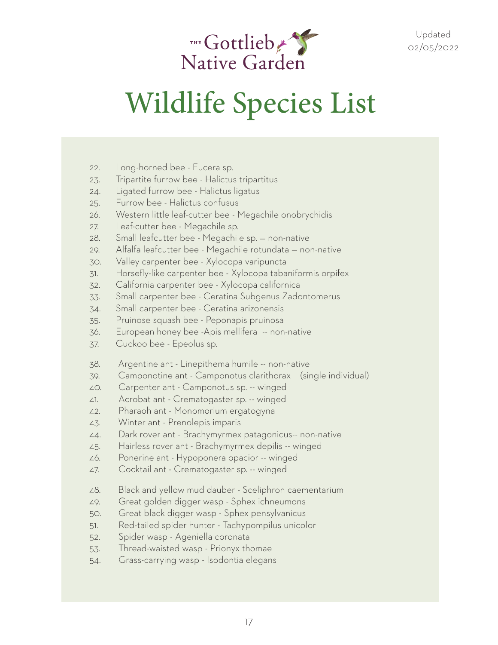

- 22. Long-horned bee Eucera sp.
- 23. Tripartite furrow bee Halictus tripartitus
- 24. Ligated furrow bee Halictus ligatus
- 25. Furrow bee Halictus confusus
- 26. Western little leaf-cutter bee Megachile onobrychidis
- 27. Leaf-cutter bee Megachile sp.
- 28. Small leafcutter bee Megachile sp. non-native
- 29. Alfalfa leafcutter bee Megachile rotundata non-native
- 30. Valley carpenter bee Xylocopa varipuncta
- 31. Horsefly-like carpenter bee Xylocopa tabaniformis orpifex
- 32. California carpenter bee Xylocopa californica
- 33. Small carpenter bee Ceratina Subgenus Zadontomerus
- 34. Small carpenter bee Ceratina arizonensis
- 35. Pruinose squash bee Peponapis pruinosa
- 36. European honey bee -Apis mellifera -- non-native
- 37. Cuckoo bee Epeolus sp.
- 38. Argentine ant Linepithema humile -- non-native
- 39. Camponotine ant Camponotus clarithorax (single individual)
- 40. Carpenter ant Camponotus sp. -- winged
- 41. Acrobat ant Crematogaster sp. -- winged
- 42. Pharaoh ant Monomorium ergatogyna
- 43. Winter ant Prenolepis imparis
- 44. Dark rover ant Brachymyrmex patagonicus-- non-native
- 45. Hairless rover ant Brachymyrmex depilis -- winged
- 46. Ponerine ant Hypoponera opacior -- winged
- 47. Cocktail ant Crematogaster sp. -- winged
- 48. Black and yellow mud dauber Sceliphron caementarium
- 49. Great golden digger wasp Sphex ichneumons
- 50. Great black digger wasp Sphex pensylvanicus
- 51. Red-tailed spider hunter Tachypompilus unicolor
- 52. Spider wasp Ageniella coronata
- 53. Thread-waisted wasp Prionyx thomae
- 54. Grass-carrying wasp Isodontia elegans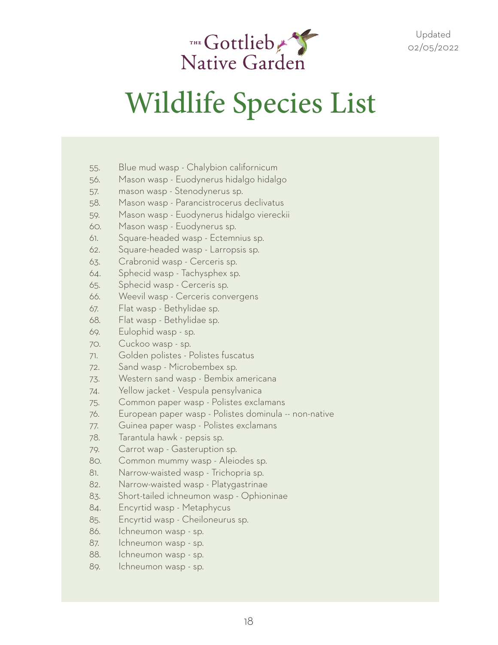

- 55. Blue mud wasp Chalybion californicum
- 56. Mason wasp Euodynerus hidalgo hidalgo
- 57. mason wasp Stenodynerus sp.
- 58. Mason wasp Parancistrocerus declivatus
- 59. Mason wasp Euodynerus hidalgo viereckii
- 60. Mason wasp Euodynerus sp.
- 61. Square-headed wasp Ectemnius sp.
- 62. Square-headed wasp Larropsis sp.
- 63. Crabronid wasp Cerceris sp.
- 64. Sphecid wasp Tachysphex sp.
- 65. Sphecid wasp Cerceris sp.
- 66. Weevil wasp Cerceris convergens
- 67. Flat wasp Bethylidae sp.
- 68. Flat wasp Bethylidae sp.
- 69. Eulophid wasp sp.
- 70. Cuckoo wasp sp.
- 71. Golden polistes Polistes fuscatus
- 72. Sand wasp Microbembex sp.
- 73. Western sand wasp Bembix americana
- 74. Yellow jacket Vespula pensylvanica
- 75. Common paper wasp Polistes exclamans
- 76. European paper wasp Polistes dominula -- non-native
- 77. Guinea paper wasp Polistes exclamans
- 78. Tarantula hawk pepsis sp.
- 79. Carrot wap Gasteruption sp.
- 80. Common mummy wasp Aleiodes sp.
- 81. Narrow-waisted wasp Trichopria sp.
- 82. Narrow-waisted wasp Platygastrinae
- 83. Short-tailed ichneumon wasp Ophioninae
- 84. Encyrtid wasp Metaphycus
- 85. Encyrtid wasp Cheiloneurus sp.
- 86. Ichneumon wasp sp.
- 87. Ichneumon wasp sp.
- 88. Ichneumon wasp sp.
- 89. Ichneumon wasp sp.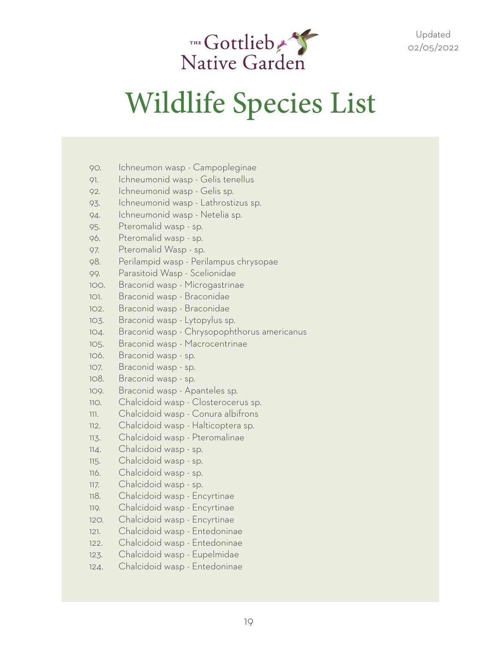

- 90. Ichneumon wasp Campopleginae
- 91. Ichneumonid wasp Gelis tenellus
- 92. Ichneumonid wasp Gelis sp.
- 93. Ichneumonid wasp Lathrostizus sp.
- 94. Ichneumonid wasp Netelia sp.
- 95. Pteromalid wasp sp.
- 96. Pteromalid wasp sp.
- 97. Pteromalid Wasp sp.
- 98. Perilampid wasp Perilampus chrysopae
- 99. Parasitoid Wasp Scelionidae
- 100. Braconid wasp Microgastrinae
- 101. Braconid wasp Braconidae
- 102. Braconid wasp Braconidae
- 103. Braconid wasp Lytopylus sp.
- 104. Braconid wasp Chrysopophthorus americanus
- 105. Braconid wasp Macrocentrinae
- 106. Braconid wasp sp.
- 107. Braconid wasp sp.
- 108. Braconid wasp sp.
- 109. Braconid wasp Apanteles sp.
- 110. Chalcidoid wasp Closterocerus sp.
- 111. Chalcidoid wasp Conura albifrons
- 112. Chalcidoid wasp Halticoptera sp.
- 113. Chalcidoid wasp Pteromalinae
- 114. Chalcidoid wasp sp.
- 115. Chalcidoid wasp sp.
- 116. Chalcidoid wasp sp.
- 117. Chalcidoid wasp sp.
- 118. Chalcidoid wasp Encyrtinae
- 119. Chalcidoid wasp Encyrtinae
- 120. Chalcidoid wasp Encyrtinae
- 121. Chalcidoid wasp Entedoninae
- 122. Chalcidoid wasp Entedoninae
- 123. Chalcidoid wasp Eupelmidae
- 124. Chalcidoid wasp Entedoninae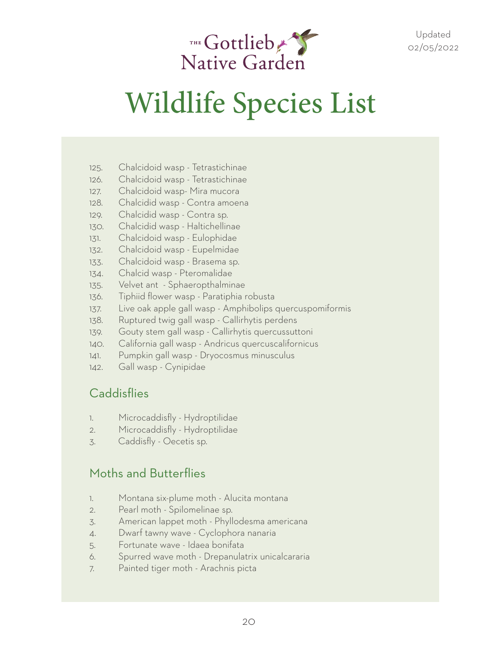

# Wildlife Species List

- 125. Chalcidoid wasp Tetrastichinae
- 126. Chalcidoid wasp Tetrastichinae
- 127. Chalcidoid wasp- Mira mucora
- 128. Chalcidid wasp Contra amoena
- 129. Chalcidid wasp Contra sp.
- 130. Chalcidid wasp Haltichellinae
- 131. Chalcidoid wasp Eulophidae
- 132. Chalcidoid wasp Eupelmidae
- 133. Chalcidoid wasp Brasema sp.
- 134. Chalcid wasp Pteromalidae
- 135. Velvet ant Sphaeropthalminae
- 136. Tiphiid flower wasp Paratiphia robusta
- 137. Live oak apple gall wasp Amphibolips quercuspomiformis
- 138. Ruptured twig gall wasp Callirhytis perdens
- 139. Gouty stem gall wasp Callirhytis quercussuttoni
- 140. California gall wasp Andricus quercuscalifornicus
- 141. Pumpkin gall wasp Dryocosmus minusculus
- 142. Gall wasp Cynipidae

#### **Caddisflies**

- 1. Microcaddisfly Hydroptilidae
- 2. Microcaddisfly Hydroptilidae
- 3. Caddisfly Oecetis sp.

#### Moths and Butterflies

- 1. Montana six-plume moth Alucita montana
- 2. Pearl moth Spilomelinae sp.
- 3. American lappet moth Phyllodesma americana
- 4. Dwarf tawny wave Cyclophora nanaria
- 5. Fortunate wave Idaea bonifata
- 6. Spurred wave moth Drepanulatrix unicalcararia
- 7. Painted tiger moth Arachnis picta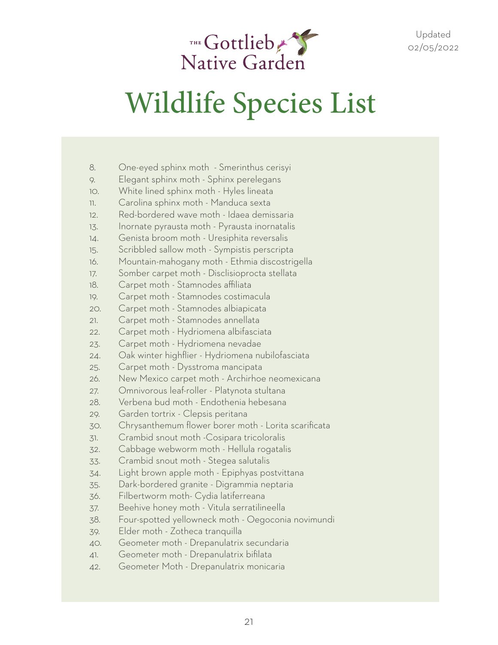

- 8. One-eyed sphinx moth Smerinthus cerisyi
- 9. Elegant sphinx moth Sphinx perelegans
- 10. White lined sphinx moth Hyles lineata
- 11. Carolina sphinx moth Manduca sexta
- 12. Red-bordered wave moth Idaea demissaria
- 13. Inornate pyrausta moth Pyrausta inornatalis
- 14. Genista broom moth Uresiphita reversalis
- 15. Scribbled sallow moth Sympistis perscripta
- 16. Mountain-mahogany moth Ethmia discostrigella
- 17. Somber carpet moth Disclisioprocta stellata
- 18. Carpet moth Stamnodes affiliata
- 19. Carpet moth Stamnodes costimacula
- 20. Carpet moth Stamnodes albiapicata
- 21. Carpet moth Stamnodes annellata
- 22. Carpet moth Hydriomena albifasciata
- 23. Carpet moth Hydriomena nevadae
- 24. Oak winter highflier Hydriomena nubilofasciata
- 25. Carpet moth Dysstroma mancipata
- 26. New Mexico carpet moth Archirhoe neomexicana
- 27. Omnivorous leaf-roller Platynota stultana
- 28. Verbena bud moth Endothenia hebesana
- 29. Garden tortrix Clepsis peritana
- 30. Chrysanthemum flower borer moth Lorita scarificata
- 31. Crambid snout moth -Cosipara tricoloralis
- 32. Cabbage webworm moth Hellula rogatalis
- 33. Crambid snout moth Stegea salutalis
- 34. Light brown apple moth Epiphyas postvittana
- 35. Dark-bordered granite Digrammia neptaria
- 36. Filbertworm moth- Cydia latiferreana
- 37. Beehive honey moth Vitula serratilineella
- 38. Four-spotted yellowneck moth Oegoconia novimundi
- 39. Elder moth Zotheca tranquilla
- 40. Geometer moth Drepanulatrix secundaria
- 41. Geometer moth Drepanulatrix bifilata
- 42. Geometer Moth Drepanulatrix monicaria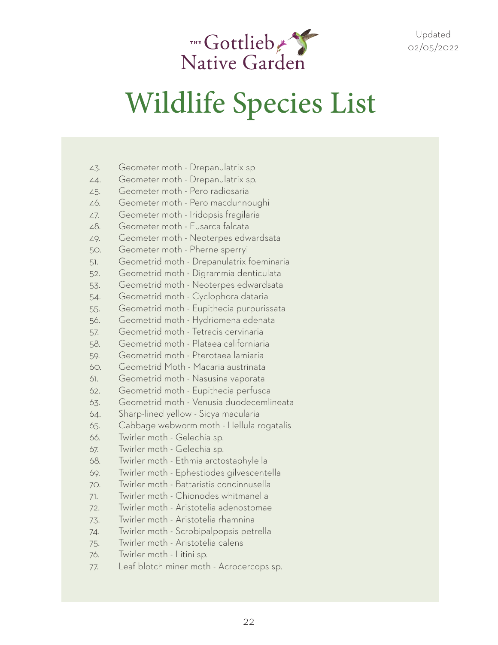

| 43. | Geometer moth - Drepanulatrix sp          |
|-----|-------------------------------------------|
| 44. | Geometer moth - Drepanulatrix sp.         |
| 45. | Geometer moth - Pero radiosaria           |
| 46. | Geometer moth - Pero macdunnoughi         |
| 47. | Geometer moth - Iridopsis fragilaria      |
| 48. | Geometer moth - Eusarca falcata           |
| 49. | Geometer moth - Neoterpes edwardsata      |
| 50. | Geometer moth - Pherne sperryi            |
| 51. | Geometrid moth - Drepanulatrix foeminaria |
| 52. | Geometrid moth - Digrammia denticulata    |
| 53. | Geometrid moth - Neoterpes edwardsata     |
| 54. | Geometrid moth - Cyclophora dataria       |
| 55. | Geometrid moth - Eupithecia purpurissata  |
| 56. | Geometrid moth - Hydriomena edenata       |
| 57. | Geometrid moth - Tetracis cervinaria      |
| 58. | Geometrid moth - Plataea californiaria    |
| 59. | Geometrid moth - Pterotaea lamiaria       |
| 60. | Geometrid Moth - Macaria austrinata       |
| 61. | Geometrid moth - Nasusina vaporata        |
| 62. | Geometrid moth - Eupithecia perfusca      |
| 63. | Geometrid moth - Venusia duodecemlineata  |
| 64. | Sharp-lined yellow - Sicya macularia      |
| 65. | Cabbage webworm moth - Hellula rogatalis  |
| 66. | Twirler moth - Gelechia sp.               |
| 67. | Twirler moth - Gelechia sp.               |
| 68. | Twirler moth - Ethmia arctostaphylella    |
| 69. | Twirler moth - Ephestiodes gilvescentella |
| 70. | Twirler moth - Battaristis concinnusella  |
| 71. | Twirler moth - Chionodes whitmanella      |
| 72. | Twirler moth - Aristotelia adenostomae    |
| 73. | Twirler moth - Aristotelia rhamnina       |
| 74. | Twirler moth - Scrobipalpopsis petrella   |
| 75. | Twirler moth - Aristotelia calens         |
| 76. | Twirler moth - Litini sp.                 |
| 77. | Leaf blotch miner moth - Acrocercops sp.  |
|     |                                           |

 $43.6$  Geometrix spectrum in the Drepanulation of the Drepanulation of the Drepanulation of the Drepanulation of the Drepanulation of the Drepanulation of the Drepanulation of the Drepanulation of the Drepanulation of the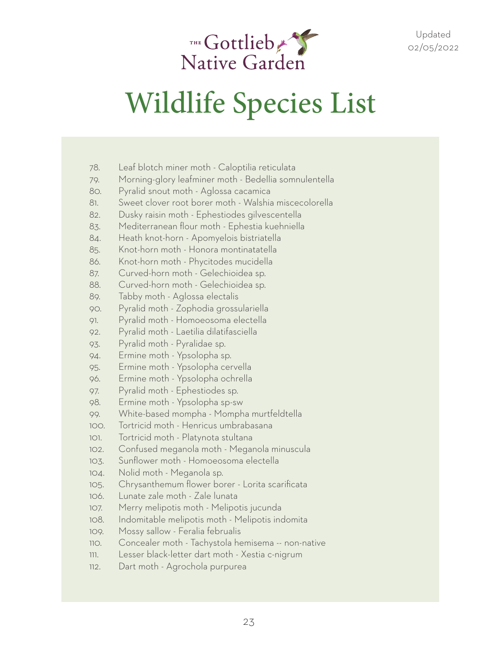

- 78. Leaf blotch miner moth Caloptilia reticulata
- 79. Morning-glory leafminer moth Bedellia somnulentella
- 80. Pyralid snout moth Aglossa cacamica
- 81. Sweet clover root borer moth Walshia miscecolorella
- 82. Dusky raisin moth Ephestiodes gilvescentella
- 83. Mediterranean flour moth Ephestia kuehniella
- 84. Heath knot-horn Apomyelois bistriatella
- 85. Knot-horn moth Honora montinatatella
- 86. Knot-horn moth Phycitodes mucidella
- 87. Curved-horn moth Gelechioidea sp.
- 88. Curved-horn moth Gelechioidea sp.
- 89. Tabby moth Aglossa electalis
- 90. Pyralid moth Zophodia grossulariella
- 91. Pyralid moth Homoeosoma electella
- 92. Pyralid moth Laetilia dilatifasciella
- 93. Pyralid moth Pyralidae sp.
- 94. Ermine moth Ypsolopha sp.
- 95. Ermine moth Ypsolopha cervella
- 96. Ermine moth Ypsolopha ochrella
- 97. Pyralid moth Ephestiodes sp.
- 98. Ermine moth Ypsolopha sp-sw
- 99. White-based mompha Mompha murtfeldtella
- 100. Tortricid moth Henricus umbrabasana
- 101. Tortricid moth Platynota stultana
- 102. Confused meganola moth Meganola minuscula
- 103. Sunflower moth Homoeosoma electella
- 104. Nolid moth Meganola sp.
- 105. Chrysanthemum flower borer Lorita scarificata
- 106. Lunate zale moth Zale lunata
- 107. Merry melipotis moth Melipotis jucunda
- 108. Indomitable melipotis moth Melipotis indomita
- 109. Mossy sallow Feralia februalis
- 110. Concealer moth Tachystola hemisema -- non-native
- 111. Lesser black-letter dart moth Xestia c-nigrum
- 112. Dart moth Agrochola purpurea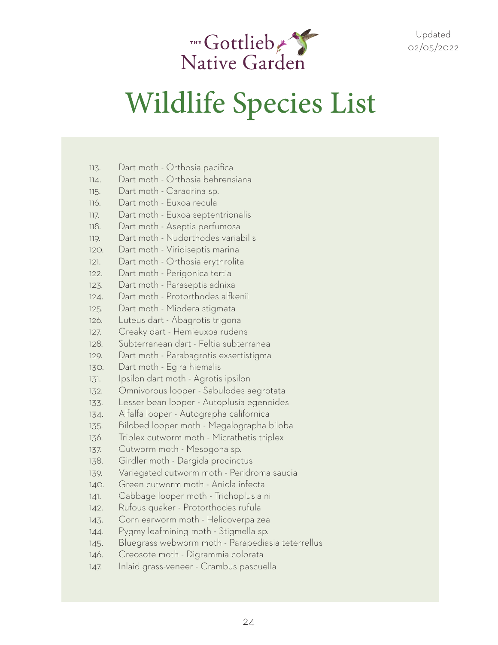

### Wildlife Species List

113. Dart moth - Orthosia pacifica 114. Dart moth - Orthosia behrensiana 115. Dart moth - Caradrina sp. 116. Dart moth - Euxoa recula 117. Dart moth - Euxoa septentrionalis 118. Dart moth - Aseptis perfumosa 119. Dart moth - Nudorthodes variabilis 120. Dart moth - Viridiseptis marina 121. Dart moth - Orthosia erythrolita 122. Dart moth - Perigonica tertia 123. Dart moth - Paraseptis adnixa 124. Dart moth - Protorthodes alfkenii 125. Dart moth - Miodera stigmata 126. Luteus dart - Abagrotis trigona 127. Creaky dart - Hemieuxoa rudens 128. Subterranean dart - Feltia subterranea 129. Dart moth - Parabagrotis exsertistigma 130. Dart moth - Egira hiemalis 131. Ipsilon dart moth - Agrotis ipsilon 132. Omnivorous looper - Sabulodes aegrotata 133. Lesser bean looper - Autoplusia egenoides 134. Alfalfa looper - Autographa californica 135. Bilobed looper moth - Megalographa biloba 136. Triplex cutworm moth - Micrathetis triplex 137. Cutworm moth - Mesogona sp. 138. Girdler moth - Dargida procinctus 139. Variegated cutworm moth - Peridroma saucia 140. Green cutworm moth - Anicla infecta 141. Cabbage looper moth - Trichoplusia ni 142. Rufous quaker - Protorthodes rufula 143. Corn earworm moth - Helicoverpa zea 144. Pygmy leafmining moth - Stigmella sp. 145. Bluegrass webworm moth - Parapediasia teterrellus 146. Creosote moth - Digrammia colorata 147. Inlaid grass-veneer - Crambus pascuella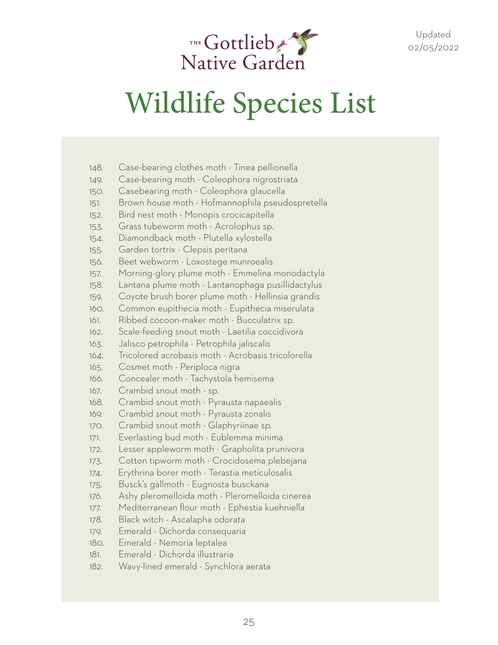

- 148. Case-bearing clothes moth Tinea pellionella
- 149. Case-bearing moth Coleophora nigrostriata
- 150. Casebearing moth Coleophora glaucella
- 151. Brown house moth Hofmannophila pseudospretella
- 152. Bird nest moth Monopis crocicapitella
- 153. Grass tubeworm moth Acrolophus sp.
- 154. Diamondback moth Plutella xylostella
- 155. Garden tortrix Clepsis peritana
- 156. Beet webworm Loxostege munroealis
- 157. Morning-glory plume moth Emmelina monodactyla
- 158. Lantana plume moth Lantanophaga pusillidactylus
- 159. Coyote brush borer plume moth Hellinsia grandis
- 160. Common eupithecia moth Eupithecia miserulata
- 161. Ribbed cocoon-maker moth Bucculatrix sp.
- 162. Scale-feeding snout moth Laetilia coccidivora
- 163. Jalisco petrophila Petrophila jaliscalis
- 164. Tricolored acrobasis moth Acrobasis tricolorella
- 165. Cosmet moth Periploca nigra
- 166. Concealer moth Tachystola hemisema
- 167. Crambid snout moth sp.
- 168. Crambid snout moth Pyrausta napaealis
- 169. Crambid snout moth Pyrausta zonalis
- 170. Crambid snout moth Glaphyriinae sp.
- 171. Everlasting bud moth Eublemma minima
- 172. Lesser appleworm moth Grapholita prunivora
- 173. Cotton tipworm moth Crocidosema plebejana
- 174. Erythrina borer moth Terastia meticulosalis
- 175. Busck's gallmoth Eugnosta busckana
- 176. Ashy pleromelloida moth Pleromelloida cinerea
- 177. Mediterranean flour moth Ephestia kuehniella
- 178. Black witch Ascalapha odorata
- 179. Emerald Dichorda consequaria
- 180. Emerald Nemoria leptalea
- 181. Emerald Dichorda illustraria
- 182. Wavy-lined emerald Synchlora aerata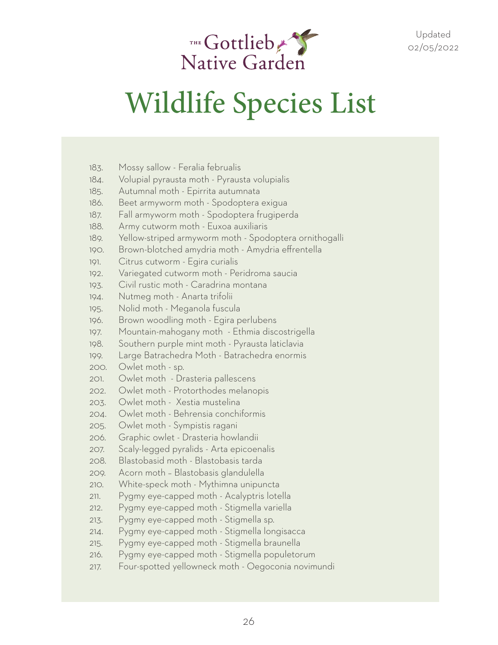

| 183. | Mossy sallow - Feralia februalis                       |
|------|--------------------------------------------------------|
| 184. | Volupial pyrausta moth - Pyrausta volupialis           |
| 185. | Autumnal moth - Epirrita autumnata                     |
| 186. | Beet armyworm moth - Spodoptera exigua                 |
| 187. | Fall armyworm moth - Spodoptera frugiperda             |
| 188. | Army cutworm moth - Euxoa auxiliaris                   |
| 189. | Yellow-striped armyworm moth - Spodoptera ornithogalli |
| 190. | Brown-blotched amydria moth - Amydria effrentella      |
| 191. | Citrus cutworm - Egira curialis                        |
| 192. | Variegated cutworm moth - Peridroma saucia             |
| 193. | Civil rustic moth - Caradrina montana                  |
| 194. | Nutmeg moth - Anarta trifolii                          |
| 195. | Nolid moth - Meganola fuscula                          |
| 196. | Brown woodling moth - Egira perlubens                  |
| 197. | Mountain-mahogany moth - Ethmia discostrigella         |
| 198. | Southern purple mint moth - Pyrausta laticlavia        |
| 199. | Large Batrachedra Moth - Batrachedra enormis           |
| 200. | Owlet moth - sp.                                       |
| 201. | Owlet moth - Drasteria pallescens                      |
| 202. | Owlet moth - Protorthodes melanopis                    |
| 203. | Owlet moth - Xestia mustelina                          |
| 204. | Owlet moth - Behrensia conchiformis                    |
| 205. | Owlet moth - Sympistis ragani                          |
| 206. | Graphic owlet - Drasteria howlandii                    |
| 207. | Scaly-legged pyralids - Arta epicoenalis               |
| 208. | Blastobasid moth - Blastobasis tarda                   |
| 209. | Acorn moth - Blastobasis glandulella                   |
| 210. | White-speck moth - Mythimna unipuncta                  |
| 211. | Pygmy eye-capped moth - Acalyptris lotella             |
| 212. | Pygmy eye-capped moth - Stigmella variella             |
| 213. | Pygmy eye-capped moth - Stigmella sp.                  |
| 214. | Pygmy eye-capped moth - Stigmella longisacca           |
| 215. | Pygmy eye-capped moth - Stigmella braunella            |
| 216. | Pygmy eye-capped moth - Stigmella populetorum          |
| 217. | Four-spotted yellowneck moth - Oegoconia novimundi     |
|      |                                                        |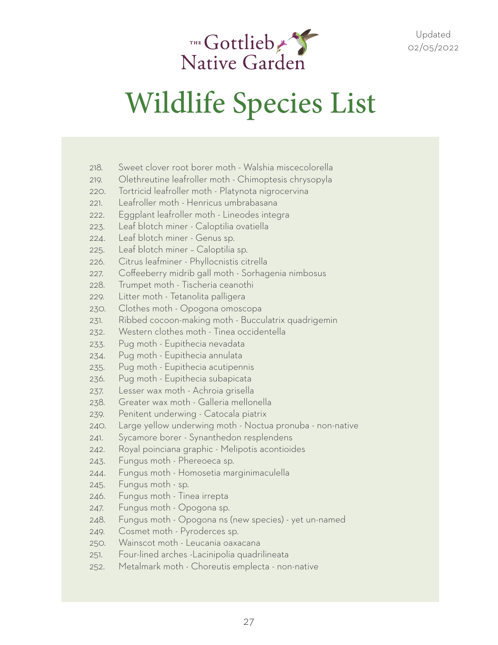

- 218. Sweet clover root borer moth Walshia miscecolorella
- 219. Olethreutine leafroller moth Chimoptesis chrysopyla
- 220. Tortricid leafroller moth Platynota nigrocervina
- 221. Leafroller moth Henricus umbrabasana
- 222. Eggplant leafroller moth Lineodes integra
- 223. Leaf blotch miner Caloptilia ovatiella
- 224. Leaf blotch miner Genus sp.
- 225. Leaf blotch miner Caloptilia sp.
- 226. Citrus leafminer Phyllocnistis citrella
- 227. Coffeeberry midrib gall moth Sorhagenia nimbosus
- 228. Trumpet moth Tischeria ceanothi
- 229. Litter moth Tetanolita palligera
- 230. Clothes moth Opogona omoscopa
- 231. Ribbed cocoon-making moth Bucculatrix quadrigemin
- 232. Western clothes moth Tinea occidentella
- 233. Pug moth Eupithecia nevadata
- 234. Pug moth Eupithecia annulata
- 235. Pug moth Eupithecia acutipennis
- 236. Pug moth Eupithecia subapicata
- 237. Lesser wax moth Achroia grisella
- 238. Greater wax moth Galleria mellonella
- 239. Penitent underwing Catocala piatrix
- 240. Large yellow underwing moth Noctua pronuba non-native
- 241. Sycamore borer Synanthedon resplendens
- 242. Royal poinciana graphic Melipotis acontioides
- 243. Fungus moth Phereoeca sp.
- 244. Fungus moth Homosetia marginimaculella
- 245. Fungus moth sp.
- 246. Fungus moth Tinea irrepta
- 247. Fungus moth Opogona sp.
- 248. Fungus moth Opogona ns (new species) yet un-named
- 249. Cosmet moth Pyroderces sp.
- 250. Wainscot moth Leucania oaxacana
- 251. Four-lined arches -Lacinipolia quadrilineata
- 252. Metalmark moth Choreutis emplecta non-native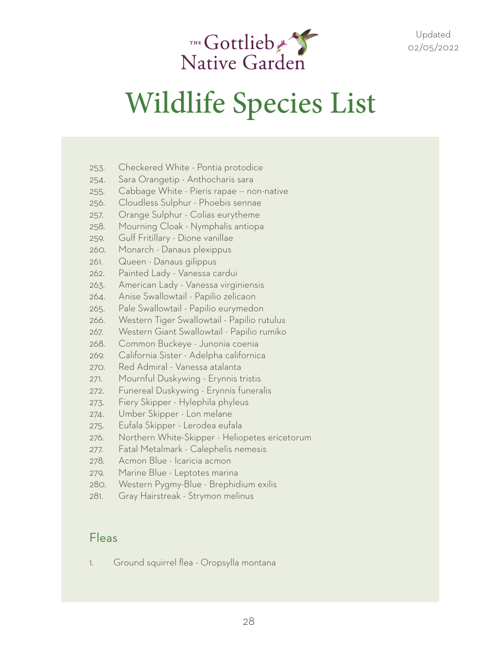

- 253. Checkered White Pontia protodice
- 254. Sara Orangetip Anthocharis sara
- 255. Cabbage White Pieris rapae -- non-native
- 256. Cloudless Sulphur Phoebis sennae
- 257. Orange Sulphur Colias eurytheme
- 258. Mourning Cloak Nymphalis antiopa
- 259. Gulf Fritillary Dione vanillae
- 260. Monarch Danaus plexippus
- 261. Queen Danaus gilippus
- 262. Painted Lady Vanessa cardui
- 263. American Lady Vanessa virginiensis
- 264. Anise Swallowtail Papilio zelicaon
- 265. Pale Swallowtail Papilio eurymedon
- 266. Western Tiger Swallowtail Papilio rutulus
- 267. Western Giant Swallowtail Papilio rumiko
- 268. Common Buckeye Junonia coenia
- 269. California Sister Adelpha californica
- 270. Red Admiral Vanessa atalanta
- 271. Mournful Duskywing Erynnis tristis
- 272. Funereal Duskywing Erynnis funeralis
- 273. Fiery Skipper Hylephila phyleus
- 274. Umber Skipper Lon melane
- 275. Eufala Skipper Lerodea eufala
- 276. Northern White-Skipper Heliopetes ericetorum
- 277. Fatal Metalmark Calephelis nemesis
- 278. Acmon Blue Icaricia acmon
- 279. Marine Blue Leptotes marina
- 280. Western Pygmy-Blue Brephidium exilis
- 281. Gray Hairstreak Strymon melinus

#### Fleas

1. Ground squirrel flea - Oropsylla montana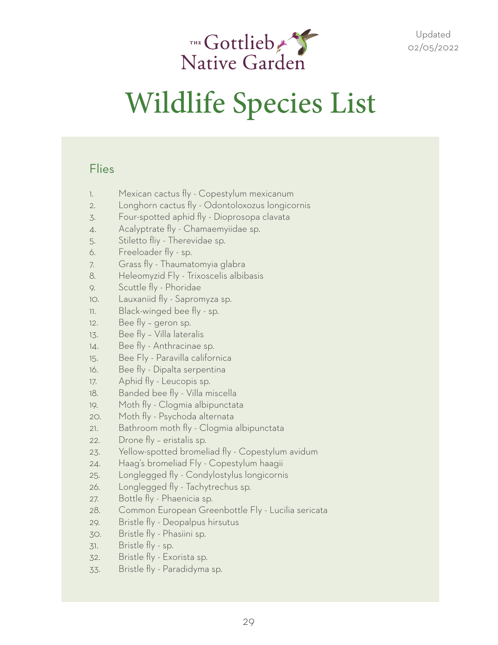

#### Flies

- 1. Mexican cactus fly Copestylum mexicanum
- 2. Longhorn cactus fly Odontoloxozus longicornis
- 3. Four-spotted aphid fly Dioprosopa clavata
- 4. Acalyptrate fly Chamaemyiidae sp.
- 5. Stiletto fliy Therevidae sp.
- 6. Freeloader fly sp.
- 7. Grass fly Thaumatomyia glabra
- 8. Heleomyzid Fly Trixoscelis albibasis
- 9. Scuttle fly Phoridae
- 10. Lauxaniid fly Sapromyza sp.
- 11. Black-winged bee fly sp.
- 12. Bee fly geron sp.
- 13. Bee fly Villa lateralis
- 14. Bee fly Anthracinae sp.
- 15. Bee Fly Paravilla californica
- 16. Bee fly Dipalta serpentina
- 17. Aphid fly Leucopis sp.
- 18. Banded bee fly Villa miscella
- 19. Moth fly Clogmia albipunctata
- 20. Moth fly Psychoda alternata
- 21. Bathroom moth fly Clogmia albipunctata
- 22. Drone fly eristalis sp.
- 23. Yellow-spotted bromeliad fly Copestylum avidum
- 24. Haag's bromeliad Fly Copestylum haagii
- 25. Longlegged fly Condylostylus longicornis
- 26. Longlegged fly Tachytrechus sp.
- 27. Bottle fly Phaenicia sp.
- 28. Common European Greenbottle Fly Lucilia sericata
- 29. Bristle fly Deopalpus hirsutus
- 30. Bristle fly Phasiini sp.
- 31. Bristle fly sp.
- 32. Bristle fly Exorista sp.
- 33. Bristle fly Paradidyma sp.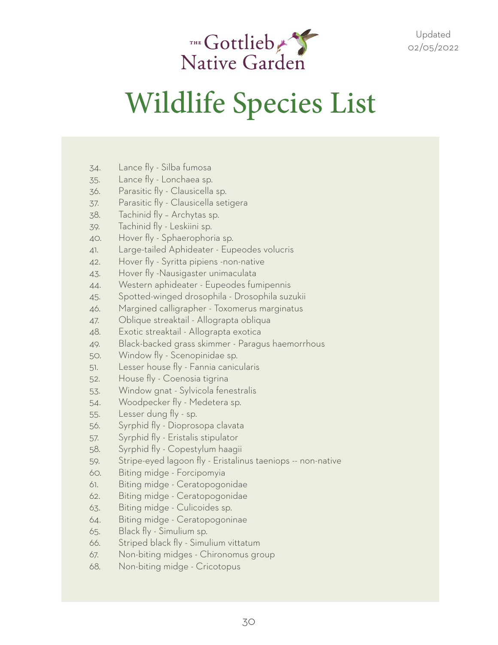

- 34. Lance fly Silba fumosa
- 35. Lance fly Lonchaea sp.
- 36. Parasitic fly Clausicella sp.
- 37. Parasitic fly Clausicella setigera
- 38. Tachinid fly Archytas sp.
- 39. Tachinid fly Leskiini sp.
- 40. Hover fly Sphaerophoria sp.
- 41. Large-tailed Aphideater Eupeodes volucris
- 42. Hover fly Syritta pipiens -non-native
- 43. Hover fly -Nausigaster unimaculata
- 44. Western aphideater Eupeodes fumipennis
- 45. Spotted-winged drosophila Drosophila suzukii
- 46. Margined calligrapher Toxomerus marginatus
- 47. Oblique streaktail Allograpta obliqua
- 48. Exotic streaktail Allograpta exotica
- 49. Black-backed grass skimmer Paragus haemorrhous
- 50. Window fly Scenopinidae sp.
- 51. Lesser house fly Fannia canicularis
- 52. House fly Coenosia tigrina
- 53. Window gnat Sylvicola fenestralis
- 54. Woodpecker fly Medetera sp.
- 55. Lesser dung fly sp.
- 56. Syrphid fly Dioprosopa clavata
- 57. Syrphid fly Eristalis stipulator
- 58. Syrphid fly Copestylum haagii
- 59. Stripe-eyed lagoon fly Eristalinus taeniops -- non-native
- 60. Biting midge Forcipomyia
- 61. Biting midge Ceratopogonidae
- 62. Biting midge Ceratopogonidae
- 63. Biting midge Culicoides sp.
- 64. Biting midge Ceratopogoninae
- 65. Black fly Simulium sp.
- 66. Striped black fly Simulium vittatum
- 67. Non-biting midges Chironomus group
- 68. Non-biting midge Cricotopus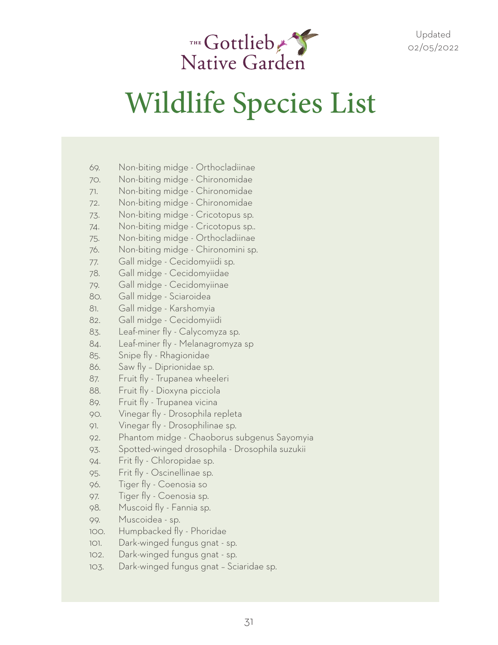

- 69. Non-biting midge Orthocladiinae
- 70. Non-biting midge Chironomidae
- 71. Non-biting midge Chironomidae
- 72. Non-biting midge Chironomidae
- 73. Non-biting midge Cricotopus sp.
- 74. Non-biting midge Cricotopus sp..
- 75. Non-biting midge Orthocladiinae
- 76. Non-biting midge Chironomini sp.
- 77. Gall midge Cecidomyiidi sp.
- 78. Gall midge Cecidomyiidae
- 79. Gall midge Cecidomyiinae
- 80. Gall midge Sciaroidea
- 81. Gall midge Karshomyia
- 82. Gall midge Cecidomyiidi
- 83. Leaf-miner fly Calycomyza sp.
- 84. Leaf-miner fly Melanagromyza sp
- 85. Snipe fly Rhagionidae
- 86. Saw fly Diprionidae sp.
- 87. Fruit fly Trupanea wheeleri
- 88. Fruit fly Dioxyna picciola
- 89. Fruit fly Trupanea vicina
- 90. Vinegar fly Drosophila repleta
- 91. Vinegar fly Drosophilinae sp.
- 92. Phantom midge Chaoborus subgenus Sayomyia
- 93. Spotted-winged drosophila Drosophila suzukii
- 94. Frit fly Chloropidae sp.
- 95. Frit fly Oscinellinae sp.
- 96. Tiger fly Coenosia so
- 97. Tiger fly Coenosia sp.
- 98. Muscoid fly Fannia sp.
- 99. Muscoidea sp.
- 100. Humpbacked fly Phoridae
- 101. Dark-winged fungus gnat sp.
- 102. Dark-winged fungus gnat sp.
- 103. Dark-winged fungus gnat Sciaridae sp.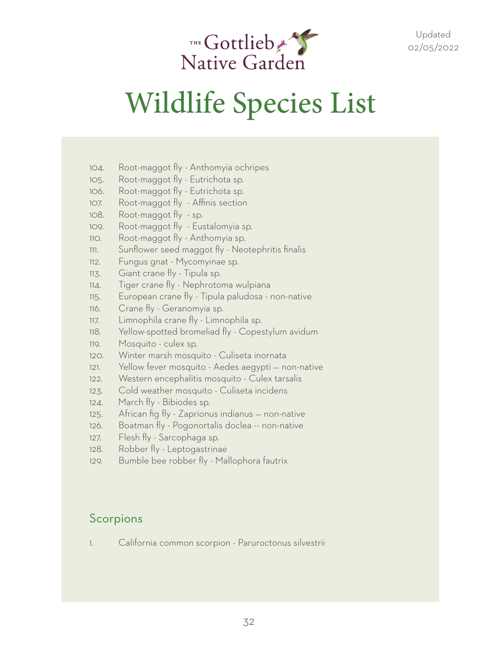

### Wildlife Species List

- 104. Root-maggot fly Anthomyia ochripes
- 105. Root-maggot fly Eutrichota sp.
- 106. Root-maggot fly Eutrichota sp.
- 107. Root-maggot fly Affinis section
- 108. Root-maggot fly sp.
- 109. Root-maggot fly Eustalomyia sp.
- 110. Root-maggot fly Anthomyia sp.
- 111. Sunflower seed maggot fly Neotephritis finalis
- 112. Fungus gnat Mycomyinae sp.
- 113. Giant crane fly Tipula sp.
- 114. Tiger crane fly Nephrotoma wulpiana
- 115. European crane fly Tipula paludosa non-native
- 116. Crane fly Geranomyia sp.
- 117. Limnophila crane fly Limnophila sp.
- 118. Yellow-spotted bromeliad fly Copestylum avidum
- 119. Mosquito culex sp.
- 120. Winter marsh mosquito Culiseta inornata
- 121. Yellow fever mosquito Aedes aegypti non-native
- 122. Western encephalitis mosquito Culex tarsalis
- 123. Cold weather mosquito Culiseta incidens
- 124. March fly Bibiodes sp.
- 125. African fig fly Zaprionus indianus non-native
- 126. Boatman fly Pogonortalis doclea -- non-native
- 127. Flesh fly Sarcophaga sp.
- 128. Robber fly Leptogastrinae
- 129. Bumble bee robber fly Mallophora fautrix

#### Scorpions

1. California common scorpion - Paruroctonus silvestrii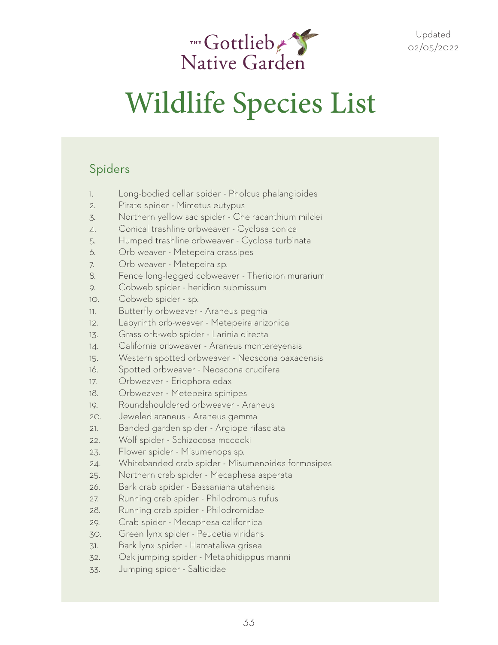

#### Spiders

- 1. Long-bodied cellar spider Pholcus phalangioides
- 2. Pirate spider Mimetus eutypus
- 3. Northern yellow sac spider Cheiracanthium mildei
- 4. Conical trashline orbweaver Cyclosa conica
- 5. Humped trashline orbweaver Cyclosa turbinata
- 6. Orb weaver Metepeira crassipes
- 7. Orb weaver Metepeira sp.
- 8. Fence long-legged cobweaver Theridion murarium
- 9. Cobweb spider heridion submissum
- 10. Cobweb spider sp.
- 11. Butterfly orbweaver Araneus pegnia
- 12. Labyrinth orb-weaver Metepeira arizonica
- 13. Grass orb-web spider Larinia directa
- 14. California orbweaver Araneus montereyensis
- 15. Western spotted orbweaver Neoscona oaxacensis
- 16. Spotted orbweaver Neoscona crucifera
- 17. Orbweaver Eriophora edax
- 18. Orbweaver Metepeira spinipes
- 19. Roundshouldered orbweaver Araneus
- 20. Jeweled araneus Araneus gemma
- 21. Banded garden spider Argiope rifasciata
- 22. Wolf spider Schizocosa mccooki
- 23. Flower spider Misumenops sp.
- 24. Whitebanded crab spider Misumenoides formosipes
- 25. Northern crab spider Mecaphesa asperata
- 26. Bark crab spider Bassaniana utahensis
- 27. Running crab spider Philodromus rufus
- 28. Running crab spider Philodromidae
- 29. Crab spider Mecaphesa californica
- 30. Green lynx spider Peucetia viridans
- 31. Bark lynx spider Hamataliwa grisea
- 32. Oak jumping spider Metaphidippus manni
- 33. Jumping spider Salticidae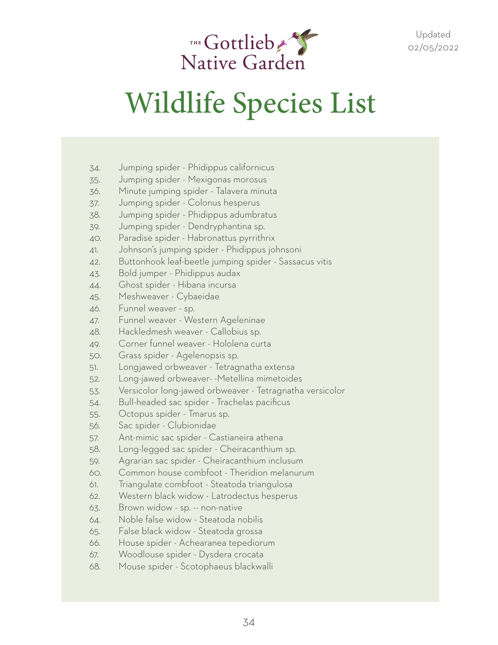

- 34. Jumping spider Phidippus californicus
- 35. Jumping spider Mexigonas morosus
- 36. Minute jumping spider Talavera minuta
- 37. Jumping spider Colonus hesperus
- 38. Jumping spider Phidippus adumbratus
- 39. Jumping spider Dendryphantina sp.
- 40. Paradise spider Habronattus pyrrithrix
- 41. Johnson's jumping spider Phidippus johnsoni
- 42. Buttonhook leaf-beetle jumping spider Sassacus vitis
- 43. Bold jumper Phidippus audax
- 44. Ghost spider Hibana incursa
- 45. Meshweaver Cybaeidae
- 46. Funnel weaver sp.
- 47. Funnel weaver Western Ageleninae
- 48. Hackledmesh weaver Callobius sp.
- 49. Corner funnel weaver Hololena curta
- 50. Grass spider Agelenopsis sp.
- 51. Longjawed orbweaver Tetragnatha extensa
- 52. Long-jawed orbweaver- -Metellina mimetoides
- 53. Versicolor long-jawed orbweaver Tetragnatha versicolor
- 54. Bull-headed sac spider Trachelas pacificus
- 55. Octopus spider Tmarus sp.
- 56. Sac spider Clubionidae
- 57. Ant-mimic sac spider Castianeira athena
- 58. Long-legged sac spider Cheiracanthium sp.
- 59. Agrarian sac spider Cheiracanthium inclusum
- 60. Common house combfoot Theridion melanurum
- 61. Triangulate combfoot Steatoda triangulosa
- 62. Western black widow Latrodectus hesperus
- 63. Brown widow sp. -- non-native
- 64. Noble false widow Steatoda nobilis
- 65. False black widow Steatoda grossa
- 66. House spider Achearanea tepediorum
- 67. Woodlouse spider Dysdera crocata
- 68. Mouse spider Scotophaeus blackwalli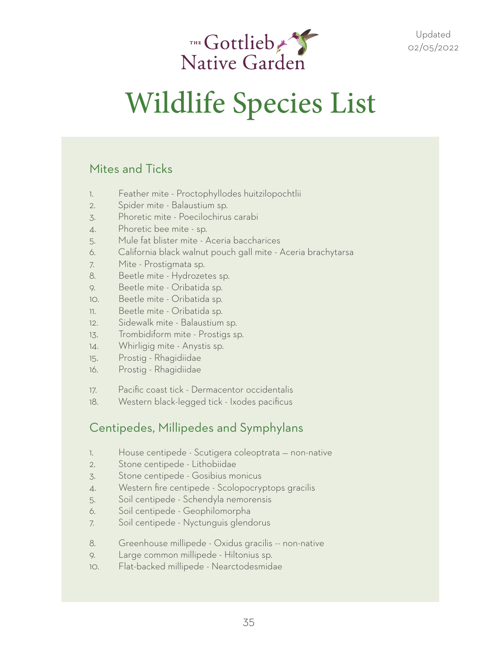

#### Mites and Ticks

- 1. Feather mite Proctophyllodes huitzilopochtlii
- 2. Spider mite Balaustium sp.
- 3. Phoretic mite Poecilochirus carabi
- 4. Phoretic bee mite sp.
- 5. Mule fat blister mite Aceria baccharices
- 6. California black walnut pouch gall mite Aceria brachytarsa
- 7. Mite Prostigmata sp.
- 8. Beetle mite Hydrozetes sp.
- 9. Beetle mite Oribatida sp.
- 10. Beetle mite Oribatida sp.
- 11. Beetle mite Oribatida sp.
- 12. Sidewalk mite Balaustium sp.
- 13. Trombidiform mite Prostigs sp.
- 14. Whirligig mite Anystis sp.
- 15. Prostig Rhagidiidae
- 16. Prostig Rhagidiidae
- 17. Pacific coast tick Dermacentor occidentalis
- 18. Western black-legged tick Ixodes pacificus

#### Centipedes, Millipedes and Symphylans

- 1. House centipede Scutigera coleoptrata non-native
- 2. Stone centipede Lithobiidae
- 3. Stone centipede Gosibius monicus
- 4. Western fire centipede Scolopocryptops gracilis
- 5. Soil centipede Schendyla nemorensis
- 6. Soil centipede Geophilomorpha
- 7. Soil centipede Nyctunguis glendorus
- 8. Greenhouse millipede Oxidus gracilis -- non-native
- 9. Large common millipede Hiltonius sp.
- 10. Flat-backed millipede Nearctodesmidae